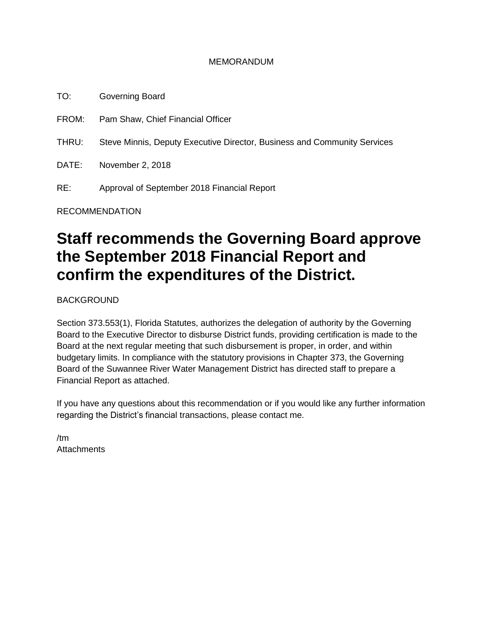#### MEMORANDUM

TO: Governing Board FROM: Pam Shaw, Chief Financial Officer THRU: Steve Minnis, Deputy Executive Director, Business and Community Services DATE: November 2, 2018 RE: Approval of September 2018 Financial Report

RECOMMENDATION

# **Staff recommends the Governing Board approve the September 2018 Financial Report and confirm the expenditures of the District.**

BACKGROUND

Section 373.553(1), Florida Statutes, authorizes the delegation of authority by the Governing Board to the Executive Director to disburse District funds, providing certification is made to the Board at the next regular meeting that such disbursement is proper, in order, and within budgetary limits. In compliance with the statutory provisions in Chapter 373, the Governing Board of the Suwannee River Water Management District has directed staff to prepare a Financial Report as attached.

If you have any questions about this recommendation or if you would like any further information regarding the District's financial transactions, please contact me.

/tm **Attachments**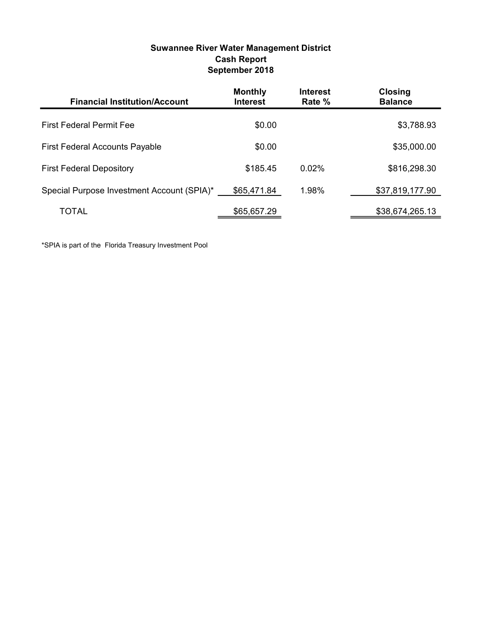| Suwannee River Water Management District |
|------------------------------------------|
| <b>Cash Report</b>                       |
| September 2018                           |

| <b>Financial Institution/Account</b>       | <b>Monthly</b><br><b>Interest</b> | <b>Interest</b><br>Rate % | <b>Closing</b><br><b>Balance</b> |
|--------------------------------------------|-----------------------------------|---------------------------|----------------------------------|
| <b>First Federal Permit Fee</b>            | \$0.00                            |                           | \$3,788.93                       |
| <b>First Federal Accounts Payable</b>      | \$0.00                            |                           | \$35,000.00                      |
| <b>First Federal Depository</b>            | \$185.45                          | $0.02\%$                  | \$816,298.30                     |
| Special Purpose Investment Account (SPIA)* | \$65,471.84                       | 1.98%                     | \$37,819,177.90                  |
| TOTAL                                      | \$65,657.29                       |                           | \$38,674,265.13                  |

\*SPIA is part of the Florida Treasury Investment Pool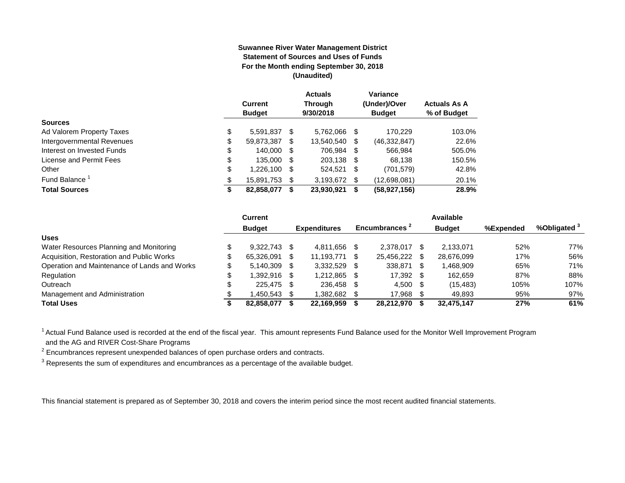#### **Suwannee River Water Management District Statement of Sources and Uses of Funds For the Month ending September 30, 2018 (Unaudited)**

|                            | <b>Current</b><br><b>Budget</b> |   | <b>Actuals</b><br><b>Through</b><br>9/30/2018 |      | Variance<br>(Under)/Over<br><b>Budget</b> | <b>Actuals As A</b><br>% of Budget |
|----------------------------|---------------------------------|---|-----------------------------------------------|------|-------------------------------------------|------------------------------------|
| <b>Sources</b>             |                                 |   |                                               |      |                                           |                                    |
| Ad Valorem Property Taxes  | \$<br>5.591.837 \$              |   | 5.762.066                                     | S    | 170.229                                   | 103.0%                             |
| Intergovernmental Revenues | \$<br>59,873,387                | S | 13,540,540                                    | S    | (46, 332, 847)                            | 22.6%                              |
| Interest on Invested Funds | \$<br>140,000 \$                |   | 706,984 \$                                    |      | 566.984                                   | 505.0%                             |
| License and Permit Fees    | \$<br>135,000 \$                |   | 203.138 \$                                    |      | 68.138                                    | 150.5%                             |
| Other                      | \$<br>1,226,100 \$              |   | 524,521                                       | - \$ | (701, 579)                                | 42.8%                              |
| Fund Balance <sup>1</sup>  | \$<br>15,891,753 \$             |   | 3,193,672                                     | \$.  | (12,698,081)                              | 20.1%                              |
| <b>Total Sources</b>       | \$<br>82,858,077                | S | 23,930,921                                    | S    | (58, 927, 156)                            | 28.9%                              |

|                                              | Current        |                     |     |                           |      | Available     |           |              |
|----------------------------------------------|----------------|---------------------|-----|---------------------------|------|---------------|-----------|--------------|
|                                              | <b>Budget</b>  | <b>Expenditures</b> |     | Encumbrances <sup>2</sup> |      | <b>Budget</b> | %Expended | %Obligated ° |
| <b>Uses</b>                                  |                |                     |     |                           |      |               |           |              |
| Water Resources Planning and Monitoring      | 9.322.743      | 4.811.656           |     | 2.378.017                 | \$.  | 2.133.071     | 52%       | 77%          |
| Acquisition, Restoration and Public Works    | 65.326.091     | 11.193.771          |     | 25,456,222                | -S   | 28.676.099    | 17%       | 56%          |
| Operation and Maintenance of Lands and Works | $5.140.309$ \$ | 3.332.529           |     | 338,871                   | -S   | 1,468,909     | 65%       | 71%          |
| Regulation                                   | $.392.916$ \$  | 1.212.865           | \$. | 17,392                    |      | 162.659       | 87%       | 88%          |
| Outreach                                     | 225.475 \$     | 236.458             | -SS | 4,500                     | - \$ | (15, 483)     | 105%      | 107%         |
| Management and Administration                | .450.543       | 1.382.682           |     | 17.968                    |      | 49.893        | 95%       | 97%          |
| <b>Total Uses</b>                            | 82.858.077     | 22.169.959          |     | 28.212.970                |      | 32.475.147    | 27%       | 61%          |

<sup>1</sup> Actual Fund Balance used is recorded at the end of the fiscal year. This amount represents Fund Balance used for the Monitor Well Improvement Program and the AG and RIVER Cost-Share Programs

 $2$  Encumbrances represent unexpended balances of open purchase orders and contracts.

 $3$  Represents the sum of expenditures and encumbrances as a percentage of the available budget.

This financial statement is prepared as of September 30, 2018 and covers the interim period since the most recent audited financial statements.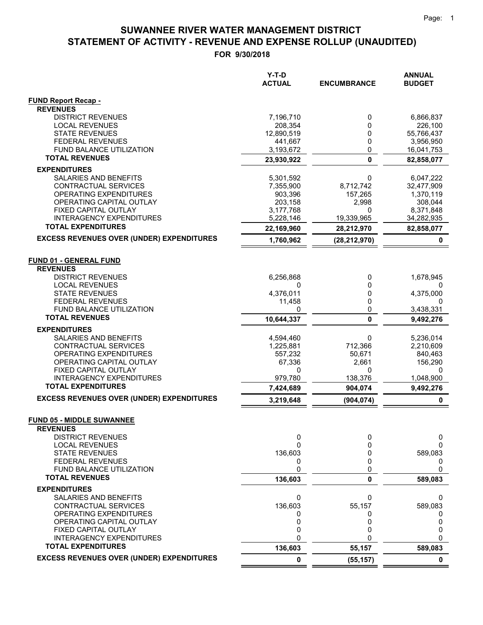|                                                         | $Y-T-D$<br><b>ACTUAL</b> | <b>ENCUMBRANCE</b> | <b>ANNUAL</b><br><b>BUDGET</b> |
|---------------------------------------------------------|--------------------------|--------------------|--------------------------------|
| <b>FUND Report Recap -</b>                              |                          |                    |                                |
| <b>REVENUES</b>                                         |                          |                    |                                |
| <b>DISTRICT REVENUES</b>                                | 7,196,710                | 0                  | 6,866,837<br>226,100           |
| <b>LOCAL REVENUES</b><br><b>STATE REVENUES</b>          | 208,354<br>12,890,519    | 0<br>0             | 55,766,437                     |
| <b>FEDERAL REVENUES</b>                                 | 441,667                  | 0                  | 3,956,950                      |
| FUND BALANCE UTILIZATION                                | 3,193,672                | 0                  | 16,041,753                     |
| <b>TOTAL REVENUES</b>                                   | 23,930,922               | $\mathbf{0}$       | 82,858,077                     |
| <b>EXPENDITURES</b>                                     |                          |                    |                                |
| SALARIES AND BENEFITS                                   | 5,301,592                | 0                  | 6,047,222                      |
| CONTRACTUAL SERVICES                                    | 7,355,900                | 8,712,742          | 32,477,909                     |
| OPERATING EXPENDITURES                                  | 903,396                  | 157,265            | 1,370,119                      |
| OPERATING CAPITAL OUTLAY                                | 203,158                  | 2,998              | 308,044                        |
| FIXED CAPITAL OUTLAY                                    | 3,177,768                | 0                  | 8,371,848                      |
| INTERAGENCY EXPENDITURES<br><b>TOTAL EXPENDITURES</b>   | 5,228,146<br>22,169,960  | 19,339,965         | 34,282,935<br>82,858,077       |
| <b>EXCESS REVENUES OVER (UNDER) EXPENDITURES</b>        |                          | 28,212,970         |                                |
|                                                         | 1,760,962                | (28, 212, 970)     | $\mathbf 0$                    |
| <b>FUND 01 - GENERAL FUND</b>                           |                          |                    |                                |
| <b>REVENUES</b>                                         |                          |                    |                                |
| <b>DISTRICT REVENUES</b>                                | 6,256,868                | 0                  | 1,678,945                      |
| <b>LOCAL REVENUES</b>                                   | 0                        | 0                  | 0                              |
| <b>STATE REVENUES</b>                                   | 4,376,011                | 0                  | 4,375,000                      |
| <b>FEDERAL REVENUES</b>                                 | 11,458                   | 0                  | 0                              |
| FUND BALANCE UTILIZATION                                | 0                        | 0                  | 3,438,331                      |
| <b>TOTAL REVENUES</b>                                   | 10,644,337               | 0                  | 9,492,276                      |
| <b>EXPENDITURES</b>                                     |                          |                    |                                |
| SALARIES AND BENEFITS                                   | 4,594,460                | 0                  | 5,236,014                      |
| CONTRACTUAL SERVICES                                    | 1,225,881                | 712,366            | 2,210,609                      |
| OPERATING EXPENDITURES<br>OPERATING CAPITAL OUTLAY      | 557,232<br>67,336        | 50,671<br>2,661    | 840,463<br>156,290             |
| FIXED CAPITAL OUTLAY                                    | 0                        | 0                  | 0                              |
| INTERAGENCY EXPENDITURES                                | 979,780                  | 138,376            | 1,048,900                      |
| <b>TOTAL EXPENDITURES</b>                               | 7,424,689                | 904,074            | 9,492,276                      |
| <b>EXCESS REVENUES OVER (UNDER) EXPENDITURES</b>        | 3,219,648                | (904, 074)         | 0                              |
|                                                         |                          |                    |                                |
| <b>FUND 05 - MIDDLE SUWANNEE</b><br><b>REVENUES</b>     |                          |                    |                                |
| <b>DISTRICT REVENUES</b>                                | 0                        | 0                  | 0                              |
| <b>LOCAL REVENUES</b>                                   | 0                        | 0                  | 0                              |
| <b>STATE REVENUES</b>                                   | 136,603                  | 0                  | 589,083                        |
| <b>FEDERAL REVENUES</b>                                 | 0                        | 0                  | 0                              |
| FUND BALANCE UTILIZATION                                | 0                        | 0                  | 0                              |
| <b>TOTAL REVENUES</b>                                   | 136,603                  | 0                  | 589,083                        |
| <b>EXPENDITURES</b>                                     |                          |                    |                                |
| SALARIES AND BENEFITS                                   | 0                        | 0                  | 0                              |
| CONTRACTUAL SERVICES                                    | 136,603                  | 55,157             | 589,083                        |
| OPERATING EXPENDITURES                                  | 0                        | 0                  | 0                              |
| OPERATING CAPITAL OUTLAY                                | 0<br>0                   | 0<br>0             | 0<br>0                         |
| FIXED CAPITAL OUTLAY<br><b>INTERAGENCY EXPENDITURES</b> | 0                        | 0                  | 0                              |
| <b>TOTAL EXPENDITURES</b>                               | 136,603                  | 55,157             | 589,083                        |
| <b>EXCESS REVENUES OVER (UNDER) EXPENDITURES</b>        | $\pmb{0}$                | (55, 157)          | $\mathbf 0$                    |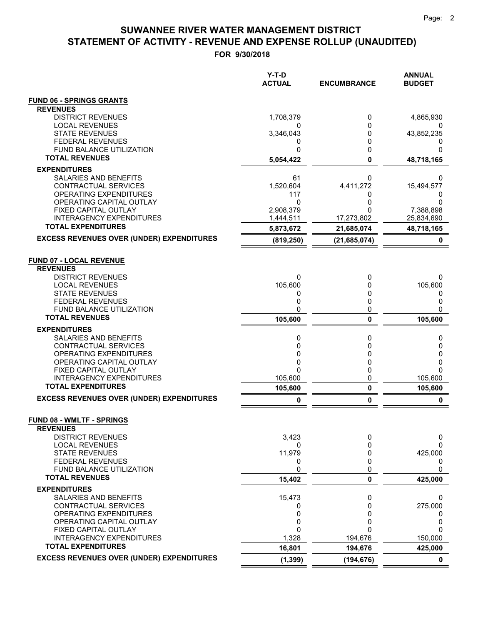| <b>FUND 06 - SPRINGS GRANTS</b><br><b>REVENUES</b><br><b>DISTRICT REVENUES</b><br>1,708,379<br>4,865,930<br>0<br><b>LOCAL REVENUES</b><br>0<br><b>STATE REVENUES</b><br>3,346,043<br>0<br>43,852,235<br><b>FEDERAL REVENUES</b><br>0<br>0<br>O<br>FUND BALANCE UTILIZATION<br>0<br>0<br>0<br><b>TOTAL REVENUES</b><br>0<br>5,054,422<br>48,718,165<br><b>EXPENDITURES</b><br>SALARIES AND BENEFITS<br>61<br>0<br>0<br>CONTRACTUAL SERVICES<br>1,520,604<br>4,411,272<br>15,494,577<br>OPERATING EXPENDITURES<br>117<br>0<br>0<br>OPERATING CAPITAL OUTLAY<br>0<br>0<br>$\Omega$<br>FIXED CAPITAL OUTLAY<br>2,908,379<br>7,388,898<br>0<br>INTERAGENCY EXPENDITURES<br>1,444,511<br>17,273,802<br>25,834,690<br><b>TOTAL EXPENDITURES</b><br>48,718,165<br>5,873,672<br>21,685,074<br><b>EXCESS REVENUES OVER (UNDER) EXPENDITURES</b><br>(21, 685, 074)<br>0<br>(819, 250)<br><b>FUND 07 - LOCAL REVENUE</b><br><b>REVENUES</b><br><b>DISTRICT REVENUES</b><br>0<br>0<br>0<br>105,600<br><b>LOCAL REVENUES</b><br>105,600<br>0<br><b>STATE REVENUES</b><br>0<br>0<br>0<br><b>FEDERAL REVENUES</b><br>0<br>0<br>0<br>0<br>FUND BALANCE UTILIZATION<br>0<br>$\mathbf{0}$<br><b>TOTAL REVENUES</b><br>105,600<br>0<br>105,600<br><b>EXPENDITURES</b><br>SALARIES AND BENEFITS<br>0<br>0<br>0<br>CONTRACTUAL SERVICES<br>0<br>0<br>0<br>OPERATING EXPENDITURES<br>0<br>0<br>0<br>OPERATING CAPITAL OUTLAY<br>0<br>0<br>0<br>FIXED CAPITAL OUTLAY<br>0<br>0<br>$\Omega$<br>0<br><b>INTERAGENCY EXPENDITURES</b><br>105,600<br>105,600<br><b>TOTAL EXPENDITURES</b><br>105,600<br>0<br>105,600<br><b>EXCESS REVENUES OVER (UNDER) EXPENDITURES</b><br>0<br>0<br>0<br><b>FUND 08 - WMLTF - SPRINGS</b><br><b>REVENUES</b><br>3,423<br><b>DISTRICT REVENUES</b><br>0<br>0<br><b>LOCAL REVENUES</b><br>0<br>0<br>0<br>11,979<br><b>STATE REVENUES</b><br>425,000<br>0<br>0<br><b>FEDERAL REVENUES</b><br>0<br>0<br>0<br>FUND BALANCE UTILIZATION<br>0<br>0<br><b>TOTAL REVENUES</b><br>15,402<br>0<br>425,000<br><b>EXPENDITURES</b><br>SALARIES AND BENEFITS<br>15,473<br>0<br>0<br>CONTRACTUAL SERVICES<br>0<br>275,000<br>0<br>OPERATING EXPENDITURES<br>0<br>0<br>0<br>OPERATING CAPITAL OUTLAY<br>0<br>0<br>0<br>0<br>FIXED CAPITAL OUTLAY<br>0<br>0<br><b>INTERAGENCY EXPENDITURES</b><br>1,328<br>194,676<br>150,000<br><b>TOTAL EXPENDITURES</b><br>16,801<br>194,676<br>425,000<br><b>EXCESS REVENUES OVER (UNDER) EXPENDITURES</b><br>(1, 399)<br>(194, 676)<br>$\mathbf 0$ | $Y-T-D$<br><b>ACTUAL</b> | <b>ENCUMBRANCE</b> | <b>ANNUAL</b><br><b>BUDGET</b> |
|------------------------------------------------------------------------------------------------------------------------------------------------------------------------------------------------------------------------------------------------------------------------------------------------------------------------------------------------------------------------------------------------------------------------------------------------------------------------------------------------------------------------------------------------------------------------------------------------------------------------------------------------------------------------------------------------------------------------------------------------------------------------------------------------------------------------------------------------------------------------------------------------------------------------------------------------------------------------------------------------------------------------------------------------------------------------------------------------------------------------------------------------------------------------------------------------------------------------------------------------------------------------------------------------------------------------------------------------------------------------------------------------------------------------------------------------------------------------------------------------------------------------------------------------------------------------------------------------------------------------------------------------------------------------------------------------------------------------------------------------------------------------------------------------------------------------------------------------------------------------------------------------------------------------------------------------------------------------------------------------------------------------------------------------------------------------------------------------------------------------------------------------------------------------------------------------------------------------------------------------------------------------------------------------------------------------------------------------------------------------------------------------------------------------------------------------------------------------------|--------------------------|--------------------|--------------------------------|
|                                                                                                                                                                                                                                                                                                                                                                                                                                                                                                                                                                                                                                                                                                                                                                                                                                                                                                                                                                                                                                                                                                                                                                                                                                                                                                                                                                                                                                                                                                                                                                                                                                                                                                                                                                                                                                                                                                                                                                                                                                                                                                                                                                                                                                                                                                                                                                                                                                                                              |                          |                    |                                |
|                                                                                                                                                                                                                                                                                                                                                                                                                                                                                                                                                                                                                                                                                                                                                                                                                                                                                                                                                                                                                                                                                                                                                                                                                                                                                                                                                                                                                                                                                                                                                                                                                                                                                                                                                                                                                                                                                                                                                                                                                                                                                                                                                                                                                                                                                                                                                                                                                                                                              |                          |                    |                                |
|                                                                                                                                                                                                                                                                                                                                                                                                                                                                                                                                                                                                                                                                                                                                                                                                                                                                                                                                                                                                                                                                                                                                                                                                                                                                                                                                                                                                                                                                                                                                                                                                                                                                                                                                                                                                                                                                                                                                                                                                                                                                                                                                                                                                                                                                                                                                                                                                                                                                              |                          |                    |                                |
|                                                                                                                                                                                                                                                                                                                                                                                                                                                                                                                                                                                                                                                                                                                                                                                                                                                                                                                                                                                                                                                                                                                                                                                                                                                                                                                                                                                                                                                                                                                                                                                                                                                                                                                                                                                                                                                                                                                                                                                                                                                                                                                                                                                                                                                                                                                                                                                                                                                                              |                          |                    |                                |
|                                                                                                                                                                                                                                                                                                                                                                                                                                                                                                                                                                                                                                                                                                                                                                                                                                                                                                                                                                                                                                                                                                                                                                                                                                                                                                                                                                                                                                                                                                                                                                                                                                                                                                                                                                                                                                                                                                                                                                                                                                                                                                                                                                                                                                                                                                                                                                                                                                                                              |                          |                    |                                |
|                                                                                                                                                                                                                                                                                                                                                                                                                                                                                                                                                                                                                                                                                                                                                                                                                                                                                                                                                                                                                                                                                                                                                                                                                                                                                                                                                                                                                                                                                                                                                                                                                                                                                                                                                                                                                                                                                                                                                                                                                                                                                                                                                                                                                                                                                                                                                                                                                                                                              |                          |                    |                                |
|                                                                                                                                                                                                                                                                                                                                                                                                                                                                                                                                                                                                                                                                                                                                                                                                                                                                                                                                                                                                                                                                                                                                                                                                                                                                                                                                                                                                                                                                                                                                                                                                                                                                                                                                                                                                                                                                                                                                                                                                                                                                                                                                                                                                                                                                                                                                                                                                                                                                              |                          |                    |                                |
|                                                                                                                                                                                                                                                                                                                                                                                                                                                                                                                                                                                                                                                                                                                                                                                                                                                                                                                                                                                                                                                                                                                                                                                                                                                                                                                                                                                                                                                                                                                                                                                                                                                                                                                                                                                                                                                                                                                                                                                                                                                                                                                                                                                                                                                                                                                                                                                                                                                                              |                          |                    |                                |
|                                                                                                                                                                                                                                                                                                                                                                                                                                                                                                                                                                                                                                                                                                                                                                                                                                                                                                                                                                                                                                                                                                                                                                                                                                                                                                                                                                                                                                                                                                                                                                                                                                                                                                                                                                                                                                                                                                                                                                                                                                                                                                                                                                                                                                                                                                                                                                                                                                                                              |                          |                    |                                |
|                                                                                                                                                                                                                                                                                                                                                                                                                                                                                                                                                                                                                                                                                                                                                                                                                                                                                                                                                                                                                                                                                                                                                                                                                                                                                                                                                                                                                                                                                                                                                                                                                                                                                                                                                                                                                                                                                                                                                                                                                                                                                                                                                                                                                                                                                                                                                                                                                                                                              |                          |                    |                                |
|                                                                                                                                                                                                                                                                                                                                                                                                                                                                                                                                                                                                                                                                                                                                                                                                                                                                                                                                                                                                                                                                                                                                                                                                                                                                                                                                                                                                                                                                                                                                                                                                                                                                                                                                                                                                                                                                                                                                                                                                                                                                                                                                                                                                                                                                                                                                                                                                                                                                              |                          |                    |                                |
|                                                                                                                                                                                                                                                                                                                                                                                                                                                                                                                                                                                                                                                                                                                                                                                                                                                                                                                                                                                                                                                                                                                                                                                                                                                                                                                                                                                                                                                                                                                                                                                                                                                                                                                                                                                                                                                                                                                                                                                                                                                                                                                                                                                                                                                                                                                                                                                                                                                                              |                          |                    |                                |
|                                                                                                                                                                                                                                                                                                                                                                                                                                                                                                                                                                                                                                                                                                                                                                                                                                                                                                                                                                                                                                                                                                                                                                                                                                                                                                                                                                                                                                                                                                                                                                                                                                                                                                                                                                                                                                                                                                                                                                                                                                                                                                                                                                                                                                                                                                                                                                                                                                                                              |                          |                    |                                |
|                                                                                                                                                                                                                                                                                                                                                                                                                                                                                                                                                                                                                                                                                                                                                                                                                                                                                                                                                                                                                                                                                                                                                                                                                                                                                                                                                                                                                                                                                                                                                                                                                                                                                                                                                                                                                                                                                                                                                                                                                                                                                                                                                                                                                                                                                                                                                                                                                                                                              |                          |                    |                                |
|                                                                                                                                                                                                                                                                                                                                                                                                                                                                                                                                                                                                                                                                                                                                                                                                                                                                                                                                                                                                                                                                                                                                                                                                                                                                                                                                                                                                                                                                                                                                                                                                                                                                                                                                                                                                                                                                                                                                                                                                                                                                                                                                                                                                                                                                                                                                                                                                                                                                              |                          |                    |                                |
|                                                                                                                                                                                                                                                                                                                                                                                                                                                                                                                                                                                                                                                                                                                                                                                                                                                                                                                                                                                                                                                                                                                                                                                                                                                                                                                                                                                                                                                                                                                                                                                                                                                                                                                                                                                                                                                                                                                                                                                                                                                                                                                                                                                                                                                                                                                                                                                                                                                                              |                          |                    |                                |
|                                                                                                                                                                                                                                                                                                                                                                                                                                                                                                                                                                                                                                                                                                                                                                                                                                                                                                                                                                                                                                                                                                                                                                                                                                                                                                                                                                                                                                                                                                                                                                                                                                                                                                                                                                                                                                                                                                                                                                                                                                                                                                                                                                                                                                                                                                                                                                                                                                                                              |                          |                    |                                |
|                                                                                                                                                                                                                                                                                                                                                                                                                                                                                                                                                                                                                                                                                                                                                                                                                                                                                                                                                                                                                                                                                                                                                                                                                                                                                                                                                                                                                                                                                                                                                                                                                                                                                                                                                                                                                                                                                                                                                                                                                                                                                                                                                                                                                                                                                                                                                                                                                                                                              |                          |                    |                                |
|                                                                                                                                                                                                                                                                                                                                                                                                                                                                                                                                                                                                                                                                                                                                                                                                                                                                                                                                                                                                                                                                                                                                                                                                                                                                                                                                                                                                                                                                                                                                                                                                                                                                                                                                                                                                                                                                                                                                                                                                                                                                                                                                                                                                                                                                                                                                                                                                                                                                              |                          |                    |                                |
|                                                                                                                                                                                                                                                                                                                                                                                                                                                                                                                                                                                                                                                                                                                                                                                                                                                                                                                                                                                                                                                                                                                                                                                                                                                                                                                                                                                                                                                                                                                                                                                                                                                                                                                                                                                                                                                                                                                                                                                                                                                                                                                                                                                                                                                                                                                                                                                                                                                                              |                          |                    |                                |
|                                                                                                                                                                                                                                                                                                                                                                                                                                                                                                                                                                                                                                                                                                                                                                                                                                                                                                                                                                                                                                                                                                                                                                                                                                                                                                                                                                                                                                                                                                                                                                                                                                                                                                                                                                                                                                                                                                                                                                                                                                                                                                                                                                                                                                                                                                                                                                                                                                                                              |                          |                    |                                |
|                                                                                                                                                                                                                                                                                                                                                                                                                                                                                                                                                                                                                                                                                                                                                                                                                                                                                                                                                                                                                                                                                                                                                                                                                                                                                                                                                                                                                                                                                                                                                                                                                                                                                                                                                                                                                                                                                                                                                                                                                                                                                                                                                                                                                                                                                                                                                                                                                                                                              |                          |                    |                                |
|                                                                                                                                                                                                                                                                                                                                                                                                                                                                                                                                                                                                                                                                                                                                                                                                                                                                                                                                                                                                                                                                                                                                                                                                                                                                                                                                                                                                                                                                                                                                                                                                                                                                                                                                                                                                                                                                                                                                                                                                                                                                                                                                                                                                                                                                                                                                                                                                                                                                              |                          |                    |                                |
|                                                                                                                                                                                                                                                                                                                                                                                                                                                                                                                                                                                                                                                                                                                                                                                                                                                                                                                                                                                                                                                                                                                                                                                                                                                                                                                                                                                                                                                                                                                                                                                                                                                                                                                                                                                                                                                                                                                                                                                                                                                                                                                                                                                                                                                                                                                                                                                                                                                                              |                          |                    |                                |
|                                                                                                                                                                                                                                                                                                                                                                                                                                                                                                                                                                                                                                                                                                                                                                                                                                                                                                                                                                                                                                                                                                                                                                                                                                                                                                                                                                                                                                                                                                                                                                                                                                                                                                                                                                                                                                                                                                                                                                                                                                                                                                                                                                                                                                                                                                                                                                                                                                                                              |                          |                    |                                |
|                                                                                                                                                                                                                                                                                                                                                                                                                                                                                                                                                                                                                                                                                                                                                                                                                                                                                                                                                                                                                                                                                                                                                                                                                                                                                                                                                                                                                                                                                                                                                                                                                                                                                                                                                                                                                                                                                                                                                                                                                                                                                                                                                                                                                                                                                                                                                                                                                                                                              |                          |                    |                                |
|                                                                                                                                                                                                                                                                                                                                                                                                                                                                                                                                                                                                                                                                                                                                                                                                                                                                                                                                                                                                                                                                                                                                                                                                                                                                                                                                                                                                                                                                                                                                                                                                                                                                                                                                                                                                                                                                                                                                                                                                                                                                                                                                                                                                                                                                                                                                                                                                                                                                              |                          |                    |                                |
|                                                                                                                                                                                                                                                                                                                                                                                                                                                                                                                                                                                                                                                                                                                                                                                                                                                                                                                                                                                                                                                                                                                                                                                                                                                                                                                                                                                                                                                                                                                                                                                                                                                                                                                                                                                                                                                                                                                                                                                                                                                                                                                                                                                                                                                                                                                                                                                                                                                                              |                          |                    |                                |
|                                                                                                                                                                                                                                                                                                                                                                                                                                                                                                                                                                                                                                                                                                                                                                                                                                                                                                                                                                                                                                                                                                                                                                                                                                                                                                                                                                                                                                                                                                                                                                                                                                                                                                                                                                                                                                                                                                                                                                                                                                                                                                                                                                                                                                                                                                                                                                                                                                                                              |                          |                    |                                |
|                                                                                                                                                                                                                                                                                                                                                                                                                                                                                                                                                                                                                                                                                                                                                                                                                                                                                                                                                                                                                                                                                                                                                                                                                                                                                                                                                                                                                                                                                                                                                                                                                                                                                                                                                                                                                                                                                                                                                                                                                                                                                                                                                                                                                                                                                                                                                                                                                                                                              |                          |                    |                                |
|                                                                                                                                                                                                                                                                                                                                                                                                                                                                                                                                                                                                                                                                                                                                                                                                                                                                                                                                                                                                                                                                                                                                                                                                                                                                                                                                                                                                                                                                                                                                                                                                                                                                                                                                                                                                                                                                                                                                                                                                                                                                                                                                                                                                                                                                                                                                                                                                                                                                              |                          |                    |                                |
|                                                                                                                                                                                                                                                                                                                                                                                                                                                                                                                                                                                                                                                                                                                                                                                                                                                                                                                                                                                                                                                                                                                                                                                                                                                                                                                                                                                                                                                                                                                                                                                                                                                                                                                                                                                                                                                                                                                                                                                                                                                                                                                                                                                                                                                                                                                                                                                                                                                                              |                          |                    |                                |
|                                                                                                                                                                                                                                                                                                                                                                                                                                                                                                                                                                                                                                                                                                                                                                                                                                                                                                                                                                                                                                                                                                                                                                                                                                                                                                                                                                                                                                                                                                                                                                                                                                                                                                                                                                                                                                                                                                                                                                                                                                                                                                                                                                                                                                                                                                                                                                                                                                                                              |                          |                    |                                |
|                                                                                                                                                                                                                                                                                                                                                                                                                                                                                                                                                                                                                                                                                                                                                                                                                                                                                                                                                                                                                                                                                                                                                                                                                                                                                                                                                                                                                                                                                                                                                                                                                                                                                                                                                                                                                                                                                                                                                                                                                                                                                                                                                                                                                                                                                                                                                                                                                                                                              |                          |                    |                                |
|                                                                                                                                                                                                                                                                                                                                                                                                                                                                                                                                                                                                                                                                                                                                                                                                                                                                                                                                                                                                                                                                                                                                                                                                                                                                                                                                                                                                                                                                                                                                                                                                                                                                                                                                                                                                                                                                                                                                                                                                                                                                                                                                                                                                                                                                                                                                                                                                                                                                              |                          |                    |                                |
|                                                                                                                                                                                                                                                                                                                                                                                                                                                                                                                                                                                                                                                                                                                                                                                                                                                                                                                                                                                                                                                                                                                                                                                                                                                                                                                                                                                                                                                                                                                                                                                                                                                                                                                                                                                                                                                                                                                                                                                                                                                                                                                                                                                                                                                                                                                                                                                                                                                                              |                          |                    |                                |
|                                                                                                                                                                                                                                                                                                                                                                                                                                                                                                                                                                                                                                                                                                                                                                                                                                                                                                                                                                                                                                                                                                                                                                                                                                                                                                                                                                                                                                                                                                                                                                                                                                                                                                                                                                                                                                                                                                                                                                                                                                                                                                                                                                                                                                                                                                                                                                                                                                                                              |                          |                    |                                |
|                                                                                                                                                                                                                                                                                                                                                                                                                                                                                                                                                                                                                                                                                                                                                                                                                                                                                                                                                                                                                                                                                                                                                                                                                                                                                                                                                                                                                                                                                                                                                                                                                                                                                                                                                                                                                                                                                                                                                                                                                                                                                                                                                                                                                                                                                                                                                                                                                                                                              |                          |                    |                                |
|                                                                                                                                                                                                                                                                                                                                                                                                                                                                                                                                                                                                                                                                                                                                                                                                                                                                                                                                                                                                                                                                                                                                                                                                                                                                                                                                                                                                                                                                                                                                                                                                                                                                                                                                                                                                                                                                                                                                                                                                                                                                                                                                                                                                                                                                                                                                                                                                                                                                              |                          |                    |                                |
|                                                                                                                                                                                                                                                                                                                                                                                                                                                                                                                                                                                                                                                                                                                                                                                                                                                                                                                                                                                                                                                                                                                                                                                                                                                                                                                                                                                                                                                                                                                                                                                                                                                                                                                                                                                                                                                                                                                                                                                                                                                                                                                                                                                                                                                                                                                                                                                                                                                                              |                          |                    |                                |
|                                                                                                                                                                                                                                                                                                                                                                                                                                                                                                                                                                                                                                                                                                                                                                                                                                                                                                                                                                                                                                                                                                                                                                                                                                                                                                                                                                                                                                                                                                                                                                                                                                                                                                                                                                                                                                                                                                                                                                                                                                                                                                                                                                                                                                                                                                                                                                                                                                                                              |                          |                    |                                |
|                                                                                                                                                                                                                                                                                                                                                                                                                                                                                                                                                                                                                                                                                                                                                                                                                                                                                                                                                                                                                                                                                                                                                                                                                                                                                                                                                                                                                                                                                                                                                                                                                                                                                                                                                                                                                                                                                                                                                                                                                                                                                                                                                                                                                                                                                                                                                                                                                                                                              |                          |                    |                                |
|                                                                                                                                                                                                                                                                                                                                                                                                                                                                                                                                                                                                                                                                                                                                                                                                                                                                                                                                                                                                                                                                                                                                                                                                                                                                                                                                                                                                                                                                                                                                                                                                                                                                                                                                                                                                                                                                                                                                                                                                                                                                                                                                                                                                                                                                                                                                                                                                                                                                              |                          |                    |                                |
|                                                                                                                                                                                                                                                                                                                                                                                                                                                                                                                                                                                                                                                                                                                                                                                                                                                                                                                                                                                                                                                                                                                                                                                                                                                                                                                                                                                                                                                                                                                                                                                                                                                                                                                                                                                                                                                                                                                                                                                                                                                                                                                                                                                                                                                                                                                                                                                                                                                                              |                          |                    |                                |
|                                                                                                                                                                                                                                                                                                                                                                                                                                                                                                                                                                                                                                                                                                                                                                                                                                                                                                                                                                                                                                                                                                                                                                                                                                                                                                                                                                                                                                                                                                                                                                                                                                                                                                                                                                                                                                                                                                                                                                                                                                                                                                                                                                                                                                                                                                                                                                                                                                                                              |                          |                    |                                |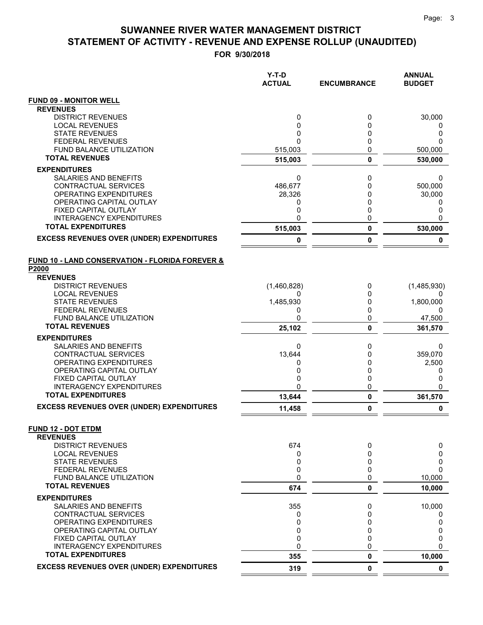|                                                                               | $Y-T-D$<br><b>ACTUAL</b> | <b>ENCUMBRANCE</b> | <b>ANNUAL</b><br><b>BUDGET</b> |
|-------------------------------------------------------------------------------|--------------------------|--------------------|--------------------------------|
| <b>FUND 09 - MONITOR WELL</b>                                                 |                          |                    |                                |
| <b>REVENUES</b>                                                               |                          |                    |                                |
| <b>DISTRICT REVENUES</b>                                                      | 0<br>0                   | 0                  | 30,000                         |
| <b>LOCAL REVENUES</b><br><b>STATE REVENUES</b>                                | 0                        | 0<br>0             | O<br>0                         |
| <b>FEDERAL REVENUES</b>                                                       | 0                        | 0                  | ი                              |
| FUND BALANCE UTILIZATION                                                      | 515,003                  | 0                  | 500,000                        |
| <b>TOTAL REVENUES</b>                                                         | 515,003                  | 0                  | 530,000                        |
| <b>EXPENDITURES</b>                                                           |                          |                    |                                |
| SALARIES AND BENEFITS                                                         | 0                        | 0                  | 0                              |
| CONTRACTUAL SERVICES                                                          | 486,677                  | 0                  | 500,000                        |
| OPERATING EXPENDITURES<br>OPERATING CAPITAL OUTLAY                            | 28,326<br>0              | 0<br>0             | 30,000<br>0                    |
| FIXED CAPITAL OUTLAY                                                          | 0                        | 0                  | 0                              |
| <b>INTERAGENCY EXPENDITURES</b>                                               | 0                        | 0                  | 0                              |
| <b>TOTAL EXPENDITURES</b>                                                     | 515,003                  | 0                  | 530,000                        |
| <b>EXCESS REVENUES OVER (UNDER) EXPENDITURES</b>                              | 0                        | 0                  | 0                              |
| <b>FUND 10 - LAND CONSERVATION - FLORIDA FOREVER &amp;</b>                    |                          |                    |                                |
| P2000                                                                         |                          |                    |                                |
| <b>REVENUES</b>                                                               |                          |                    |                                |
| <b>DISTRICT REVENUES</b><br><b>LOCAL REVENUES</b>                             | (1,460,828)<br>0         | 0<br>0             | (1,485,930)                    |
| <b>STATE REVENUES</b>                                                         | 1,485,930                | 0                  | 1,800,000                      |
| <b>FEDERAL REVENUES</b>                                                       | 0                        | 0                  | $\Omega$                       |
| FUND BALANCE UTILIZATION                                                      | 0                        | 0                  | 47,500                         |
| <b>TOTAL REVENUES</b>                                                         | 25,102                   | 0                  | 361,570                        |
| <b>EXPENDITURES</b>                                                           |                          |                    |                                |
| SALARIES AND BENEFITS                                                         | 0                        | 0                  | 0                              |
| CONTRACTUAL SERVICES<br>OPERATING EXPENDITURES                                | 13,644<br>0              | 0<br>0             | 359,070<br>2,500               |
| OPERATING CAPITAL OUTLAY                                                      | 0                        | 0                  | 0                              |
| FIXED CAPITAL OUTLAY                                                          | 0                        | 0                  | 0                              |
| <b>INTERAGENCY EXPENDITURES</b>                                               | 0                        | 0                  | 0                              |
| <b>TOTAL EXPENDITURES</b>                                                     | 13,644                   | 0                  | 361,570                        |
| <b>EXCESS REVENUES OVER (UNDER) EXPENDITURES</b>                              | 11,458                   | 0                  | 0                              |
| <b>FUND 12 - DOT ETDM</b>                                                     |                          |                    |                                |
| <b>REVENUES</b><br><b>DISTRICT REVENUES</b>                                   | 674                      | 0                  | 0                              |
| <b>LOCAL REVENUES</b>                                                         | 0                        | 0                  | 0                              |
| <b>STATE REVENUES</b>                                                         | 0                        | 0                  | 0                              |
| <b>FEDERAL REVENUES</b>                                                       | 0                        | 0                  | 0                              |
| FUND BALANCE UTILIZATION<br><b>TOTAL REVENUES</b>                             | 0                        | 0                  | 10,000                         |
|                                                                               | 674                      | 0                  | 10,000                         |
| <b>EXPENDITURES</b>                                                           |                          |                    |                                |
| SALARIES AND BENEFITS<br><b>CONTRACTUAL SERVICES</b>                          | 355<br>0                 | 0<br>0             | 10,000<br>0                    |
| OPERATING EXPENDITURES                                                        | 0                        | 0                  | 0                              |
| OPERATING CAPITAL OUTLAY                                                      | 0                        | 0                  | 0                              |
| FIXED CAPITAL OUTLAY                                                          | 0                        | 0                  | 0                              |
| <b>INTERAGENCY EXPENDITURES</b>                                               | 0                        | 0                  | 0                              |
| <b>TOTAL EXPENDITURES</b><br><b>EXCESS REVENUES OVER (UNDER) EXPENDITURES</b> | 355                      | 0                  | 10,000                         |
|                                                                               | 319                      | 0                  | $\mathbf 0$                    |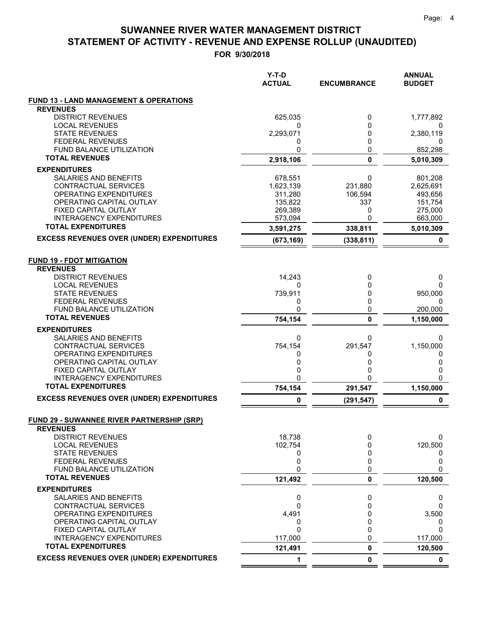|                                                                      | Y-T-D<br><b>ACTUAL</b> | <b>ENCUMBRANCE</b> | <b>ANNUAL</b><br><b>BUDGET</b> |
|----------------------------------------------------------------------|------------------------|--------------------|--------------------------------|
| <b>FUND 13 - LAND MANAGEMENT &amp; OPERATIONS</b>                    |                        |                    |                                |
| <b>REVENUES</b>                                                      |                        |                    |                                |
| <b>DISTRICT REVENUES</b>                                             | 625,035                | 0                  | 1,777,892                      |
| <b>LOCAL REVENUES</b><br><b>STATE REVENUES</b>                       | 0<br>2,293,071         | 0<br>0             | 2,380,119                      |
| <b>FEDERAL REVENUES</b>                                              | 0                      | 0                  | 0                              |
| FUND BALANCE UTILIZATION                                             | 0                      | 0                  | 852,298                        |
| <b>TOTAL REVENUES</b>                                                | 2,918,106              | $\mathbf 0$        | 5,010,309                      |
| <b>EXPENDITURES</b>                                                  |                        |                    |                                |
| SALARIES AND BENEFITS                                                | 678,551                | 0                  | 801,208                        |
| CONTRACTUAL SERVICES                                                 | 1,623,139              | 231,880            | 2,625,691                      |
| OPERATING EXPENDITURES                                               | 311,280                | 106,594            | 493,656                        |
| OPERATING CAPITAL OUTLAY                                             | 135,822                | 337                | 151,754                        |
| FIXED CAPITAL OUTLAY                                                 | 269,389                | 0                  | 275,000                        |
| <b>INTERAGENCY EXPENDITURES</b>                                      | 573,094                | 0                  | 663,000                        |
| <b>TOTAL EXPENDITURES</b>                                            | 3,591,275              | 338,811            | 5,010,309                      |
| <b>EXCESS REVENUES OVER (UNDER) EXPENDITURES</b>                     | (673, 169)             | (338, 811)         | 0                              |
| <b>FUND 19 - FDOT MITIGATION</b>                                     |                        |                    |                                |
| <b>REVENUES</b>                                                      |                        |                    |                                |
| <b>DISTRICT REVENUES</b>                                             | 14,243                 | 0                  | 0                              |
| <b>LOCAL REVENUES</b>                                                | 0                      | 0                  | 0                              |
| <b>STATE REVENUES</b>                                                | 739,911                | 0                  | 950,000                        |
| <b>FEDERAL REVENUES</b>                                              | 0                      | 0                  | 0                              |
| FUND BALANCE UTILIZATION<br><b>TOTAL REVENUES</b>                    | 0                      | 0                  | 200,000                        |
|                                                                      | 754,154                | 0                  | 1,150,000                      |
| <b>EXPENDITURES</b>                                                  |                        |                    |                                |
| SALARIES AND BENEFITS<br>CONTRACTUAL SERVICES                        | 0<br>754,154           | 0<br>291,547       | 0<br>1,150,000                 |
| OPERATING EXPENDITURES                                               | 0                      | 0                  | 0                              |
| OPERATING CAPITAL OUTLAY                                             | 0                      | 0                  | 0                              |
| FIXED CAPITAL OUTLAY                                                 | 0                      | 0                  | 0                              |
| <b>INTERAGENCY EXPENDITURES</b>                                      | 0                      | 0                  | $\mathbf{0}$                   |
| <b>TOTAL EXPENDITURES</b>                                            | 754,154                | 291,547            | 1,150,000                      |
| <b>EXCESS REVENUES OVER (UNDER) EXPENDITURES</b>                     |                        | (291, 547)         | 0                              |
| <b>FUND 29 - SUWANNEE RIVER PARTNERSHIP (SRP)</b><br><b>REVENUES</b> |                        |                    |                                |
| <b>DISTRICT REVENUES</b>                                             | 18,738                 | 0                  | 0                              |
| <b>LOCAL REVENUES</b>                                                | 102,754                | 0                  | 120,500                        |
| <b>STATE REVENUES</b>                                                | 0                      | 0                  | $\Omega$                       |
| FEDERAL REVENUES                                                     | 0                      | 0                  | 0                              |
| FUND BALANCE UTILIZATION<br><b>TOTAL REVENUES</b>                    | 0                      | 0                  | 0                              |
|                                                                      | 121,492                | 0                  | 120,500                        |
| <b>EXPENDITURES</b><br><b>SALARIES AND BENEFITS</b>                  |                        | 0                  |                                |
| CONTRACTUAL SERVICES                                                 | 0<br>0                 | 0                  | 0<br>O                         |
| OPERATING EXPENDITURES                                               | 4,491                  | 0                  | 3,500                          |
| OPERATING CAPITAL OUTLAY                                             | 0                      | 0                  | 0                              |
| FIXED CAPITAL OUTLAY                                                 | 0                      | 0                  | $\Omega$                       |
| <b>INTERAGENCY EXPENDITURES</b>                                      | 117,000                | 0                  | 117,000                        |
| <b>TOTAL EXPENDITURES</b>                                            | 121,491                | 0                  | 120,500                        |
| <b>EXCESS REVENUES OVER (UNDER) EXPENDITURES</b>                     | 1                      | 0                  | $\mathbf 0$                    |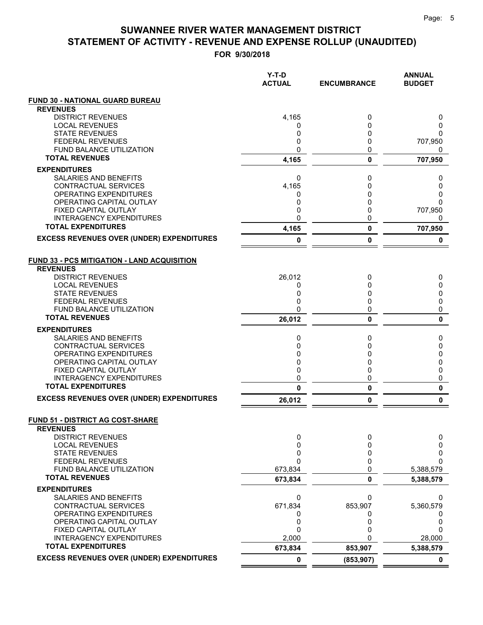|                                                           | $Y-T-D$<br><b>ACTUAL</b> | <b>ENCUMBRANCE</b> | <b>ANNUAL</b><br><b>BUDGET</b> |
|-----------------------------------------------------------|--------------------------|--------------------|--------------------------------|
| <b>FUND 30 - NATIONAL GUARD BUREAU</b>                    |                          |                    |                                |
| <b>REVENUES</b>                                           |                          |                    |                                |
| <b>DISTRICT REVENUES</b><br><b>LOCAL REVENUES</b>         | 4,165<br>0               | 0<br>0             | 0<br>0                         |
| <b>STATE REVENUES</b>                                     | 0                        | 0                  | 0                              |
| <b>FEDERAL REVENUES</b>                                   | 0                        | 0                  | 707,950                        |
| FUND BALANCE UTILIZATION                                  | 0                        | 0                  | 0                              |
| <b>TOTAL REVENUES</b>                                     | 4,165                    | $\mathbf 0$        | 707,950                        |
| <b>EXPENDITURES</b>                                       |                          |                    |                                |
| SALARIES AND BENEFITS                                     | 0                        | 0                  | 0                              |
| CONTRACTUAL SERVICES<br><b>OPERATING EXPENDITURES</b>     | 4,165                    | 0<br>0             | 0                              |
| OPERATING CAPITAL OUTLAY                                  | 0<br>0                   | 0                  | 0<br>0                         |
| FIXED CAPITAL OUTLAY                                      | 0                        | 0                  | 707,950                        |
| <b>INTERAGENCY EXPENDITURES</b>                           | 0                        | 0                  | 0                              |
| <b>TOTAL EXPENDITURES</b>                                 | 4,165                    | $\mathbf 0$        | 707,950                        |
| <b>EXCESS REVENUES OVER (UNDER) EXPENDITURES</b>          | 0                        | 0                  | 0                              |
| <b>FUND 33 - PCS MITIGATION - LAND ACQUISITION</b>        |                          |                    |                                |
| <b>REVENUES</b>                                           |                          |                    |                                |
| <b>DISTRICT REVENUES</b>                                  | 26,012                   | 0                  | 0                              |
| <b>LOCAL REVENUES</b><br><b>STATE REVENUES</b>            | 0<br>0                   | 0<br>0             | 0<br>0                         |
| <b>FEDERAL REVENUES</b>                                   | 0                        | 0                  | 0                              |
| <b>FUND BALANCE UTILIZATION</b>                           | 0                        | 0                  | 0                              |
| <b>TOTAL REVENUES</b>                                     | 26,012                   | 0                  | 0                              |
| <b>EXPENDITURES</b>                                       |                          |                    |                                |
| SALARIES AND BENEFITS                                     | 0                        | 0                  | 0                              |
| CONTRACTUAL SERVICES                                      | 0                        | 0                  | 0                              |
| <b>OPERATING EXPENDITURES</b><br>OPERATING CAPITAL OUTLAY | 0<br>0                   | 0<br>0             | 0<br>0                         |
| FIXED CAPITAL OUTLAY                                      | 0                        | 0                  | 0                              |
| <b>INTERAGENCY EXPENDITURES</b>                           | 0                        | 0                  | 0                              |
| <b>TOTAL EXPENDITURES</b>                                 | 0                        | 0                  | 0                              |
| <b>EXCESS REVENUES OVER (UNDER) EXPENDITURES</b>          | 26,012                   | 0                  | 0                              |
| <b>FUND 51 - DISTRICT AG COST-SHARE</b>                   |                          |                    |                                |
| <b>REVENUES</b><br><b>DISTRICT REVENUES</b>               | 0                        | 0                  | 0                              |
| <b>LOCAL REVENUES</b>                                     | 0                        | 0                  | 0                              |
| <b>STATE REVENUES</b>                                     | 0                        | 0                  | 0                              |
| <b>FEDERAL REVENUES</b>                                   | 0                        | 0                  | 0                              |
| FUND BALANCE UTILIZATION                                  | 673,834                  | 0                  | 5,388,579                      |
| <b>TOTAL REVENUES</b>                                     | 673,834                  | 0                  | 5,388,579                      |
| <b>EXPENDITURES</b>                                       |                          |                    |                                |
| SALARIES AND BENEFITS<br>CONTRACTUAL SERVICES             | 0<br>671,834             | 0                  | 0                              |
| OPERATING EXPENDITURES                                    | 0                        | 853,907<br>0       | 5,360,579<br>0                 |
| OPERATING CAPITAL OUTLAY                                  | 0                        | 0                  | 0                              |
| FIXED CAPITAL OUTLAY                                      | 0                        | 0                  | 0                              |
| <b>INTERAGENCY EXPENDITURES</b>                           | 2,000                    | 0                  | 28,000                         |
| <b>TOTAL EXPENDITURES</b>                                 | 673,834                  | 853,907            | 5,388,579                      |
| <b>EXCESS REVENUES OVER (UNDER) EXPENDITURES</b>          | 0                        | (853, 907)         | 0                              |